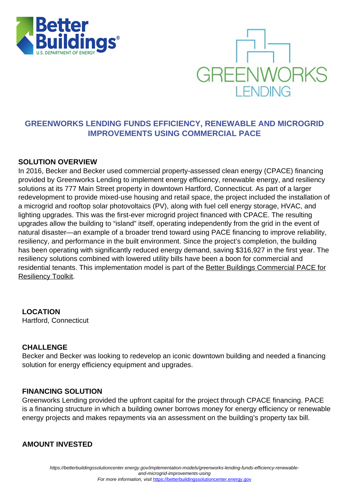



# **GREENWORKS LENDING FUNDS EFFICIENCY, RENEWABLE AND MICROGRID IMPROVEMENTS USING COMMERCIAL PACE**

### **SOLUTION OVERVIEW**

In 2016, Becker and Becker used commercial property-assessed clean energy (CPACE) financing provided by Greenworks Lending to implement energy efficiency, renewable energy, and resiliency solutions at its 777 Main Street property in downtown Hartford, Connecticut. As part of a larger redevelopment to provide mixed-use housing and retail space, the project included the installation of a microgrid and rooftop solar photovoltaics (PV), along with fuel cell energy storage, HVAC, and lighting upgrades. This was the first-ever microgrid project financed with CPACE. The resulting upgrades allow the building to "island" itself, operating independently from the grid in the event of natural disaster—an example of a broader trend toward using PACE financing to improve reliability, resiliency, and performance in the built environment. Since the project's completion, the building has been operating with significantly reduced energy demand, saving \$316,927 in the first year. The resiliency solutions combined with lowered utility bills have been a boon for commercial and residential tenants. This implementation model is part of the [Better Buildings Commercial PACE for](https://betterbuildingssolutioncenter.energy.gov/toolkits/commercial-pace-financing-resiliency) [Resiliency Toolkit.](https://betterbuildingssolutioncenter.energy.gov/toolkits/commercial-pace-financing-resiliency)

 **LOCATION** Hartford, Connecticut

#### **CHALLENGE**

Becker and Becker was looking to redevelop an iconic downtown building and needed a financing solution for energy efficiency equipment and upgrades.

#### **FINANCING SOLUTION**

Greenworks Lending provided the upfront capital for the project through CPACE financing. PACE is a financing structure in which a building owner borrows money for energy efficiency or renewable energy projects and makes repayments via an assessment on the building's property tax bill.

#### **AMOUNT INVESTED**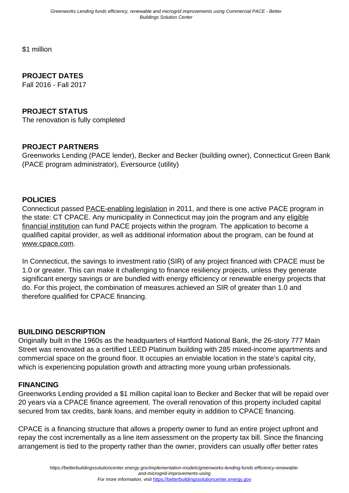\$1 million

## **PROJECT DATES**

Fall 2016 - Fall 2017

#### **PROJECT STATUS**

The renovation is fully completed

### **PROJECT PARTNERS**

Greenworks Lending (PACE lender), Becker and Becker (building owner), Connecticut Green Bank (PACE program administrator), Eversource (utility)

#### **POLICIES**

Connecticut passed [PACE-enabling legislation](http://pacenation.us/pace-in-connecticut/) in 2011, and there is one active PACE program in the state: CT CPACE. Any municipality in Connecticut may join the program and any [eligible](http://www.cpace.com/Capital-Provider) [financial institution](http://www.cpace.com/Capital-Provider) can fund PACE projects within the program. The application to become a qualified capital provider, as well as additional information about the program, can be found at [www.cpace.com](http://www.cpace.com).

In Connecticut, the savings to investment ratio (SIR) of any project financed with CPACE must be 1.0 or greater. This can make it challenging to finance resiliency projects, unless they generate significant energy savings or are bundled with energy efficiency or renewable energy projects that do. For this project, the combination of measures achieved an SIR of greater than 1.0 and therefore qualified for CPACE financing.

#### **BUILDING DESCRIPTION**

Originally built in the 1960s as the headquarters of Hartford National Bank, the 26-story 777 Main Street was renovated as a certified LEED Platinum building with 285 mixed-income apartments and commercial space on the ground floor. It occupies an enviable location in the state's capital city, which is experiencing population growth and attracting more young urban professionals.

#### **FINANCING**

Greenworks Lending provided a \$1 million capital loan to Becker and Becker that will be repaid over 20 years via a CPACE finance agreement. The overall renovation of this property included capital secured from tax credits, bank loans, and member equity in addition to CPACE financing.

CPACE is a financing structure that allows a property owner to fund an entire project upfront and repay the cost incrementally as a line item assessment on the property tax bill. Since the financing arrangement is tied to the property rather than the owner, providers can usually offer better rates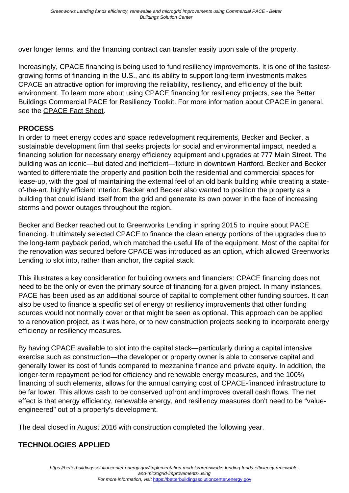over longer terms, and the financing contract can transfer easily upon sale of the property.

Increasingly, CPACE financing is being used to fund resiliency improvements. It is one of the fastestgrowing forms of financing in the U.S., and its ability to support long-term investments makes CPACE an attractive option for improving the reliability, resiliency, and efficiency of the built environment. To learn more about using CPACE financing for resiliency projects, see the Better Buildings Commercial PACE for Resiliency Toolkit. For more information about CPACE in general, see the **CPACE Fact Sheet**.

## **PROCESS**

In order to meet energy codes and space redevelopment requirements, Becker and Becker, a sustainable development firm that seeks projects for social and environmental impact, needed a financing solution for necessary energy efficiency equipment and upgrades at 777 Main Street. The building was an iconic—but dated and inefficient—fixture in downtown Hartford. Becker and Becker wanted to differentiate the property and position both the residential and commercial spaces for lease-up, with the goal of maintaining the external feel of an old bank building while creating a stateof-the-art, highly efficient interior. Becker and Becker also wanted to position the property as a building that could island itself from the grid and generate its own power in the face of increasing storms and power outages throughout the region.

Becker and Becker reached out to Greenworks Lending in spring 2015 to inquire about PACE financing. It ultimately selected CPACE to finance the clean energy portions of the upgrades due to the long-term payback period, which matched the useful life of the equipment. Most of the capital for the renovation was secured before CPACE was introduced as an option, which allowed Greenworks Lending to slot into, rather than anchor, the capital stack.

This illustrates a key consideration for building owners and financiers: CPACE financing does not need to be the only or even the primary source of financing for a given project. In many instances, PACE has been used as an additional source of capital to complement other funding sources. It can also be used to finance a specific set of energy or resiliency improvements that other funding sources would not normally cover or that might be seen as optional. This approach can be applied to a renovation project, as it was here, or to new construction projects seeking to incorporate energy efficiency or resiliency measures.

By having CPACE available to slot into the capital stack—particularly during a capital intensive exercise such as construction—the developer or property owner is able to conserve capital and generally lower its cost of funds compared to mezzanine finance and private equity. In addition, the longer-term repayment period for efficiency and renewable energy measures, and the 100% financing of such elements, allows for the annual carrying cost of CPACE-financed infrastructure to be far lower. This allows cash to be conserved upfront and improves overall cash flows. The net effect is that energy efficiency, renewable energy, and resiliency measures don't need to be "valueengineered" out of a property's development.

The deal closed in August 2016 with construction completed the following year.

# **TECHNOLOGIES APPLIED**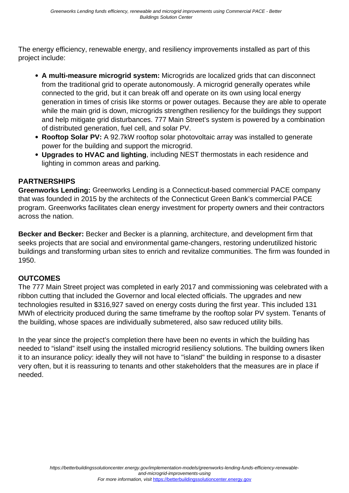The energy efficiency, renewable energy, and resiliency improvements installed as part of this project include:

- **A multi-measure microgrid system:** Microgrids are localized grids that can disconnect from the traditional grid to operate autonomously. A microgrid generally operates while connected to the grid, but it can break off and operate on its own using local energy generation in times of crisis like storms or power outages. Because they are able to operate while the main grid is down, microgrids strengthen resiliency for the buildings they support and help mitigate grid disturbances. 777 Main Street's system is powered by a combination of distributed generation, fuel cell, and solar PV.
- **Rooftop Solar PV:** A 92.7kW rooftop solar photovoltaic array was installed to generate power for the building and support the microgrid.
- **Upgrades to HVAC and lighting**, including NEST thermostats in each residence and lighting in common areas and parking.

## **PARTNERSHIPS**

**Greenworks Lending:** Greenworks Lending is a Connecticut-based commercial PACE company that was founded in 2015 by the architects of the Connecticut Green Bank's commercial PACE program. Greenworks facilitates clean energy investment for property owners and their contractors across the nation.

**Becker and Becker:** Becker and Becker is a planning, architecture, and development firm that seeks projects that are social and environmental game-changers, restoring underutilized historic buildings and transforming urban sites to enrich and revitalize communities. The firm was founded in 1950.

#### **OUTCOMES**

The 777 Main Street project was completed in early 2017 and commissioning was celebrated with a ribbon cutting that included the Governor and local elected officials. The upgrades and new technologies resulted in \$316,927 saved on energy costs during the first year. This included 131 MWh of electricity produced during the same timeframe by the rooftop solar PV system. Tenants of the building, whose spaces are individually submetered, also saw reduced utility bills.

In the year since the project's completion there have been no events in which the building has needed to "island" itself using the installed microgrid resiliency solutions. The building owners liken it to an insurance policy: ideally they will not have to "island" the building in response to a disaster very often, but it is reassuring to tenants and other stakeholders that the measures are in place if needed.